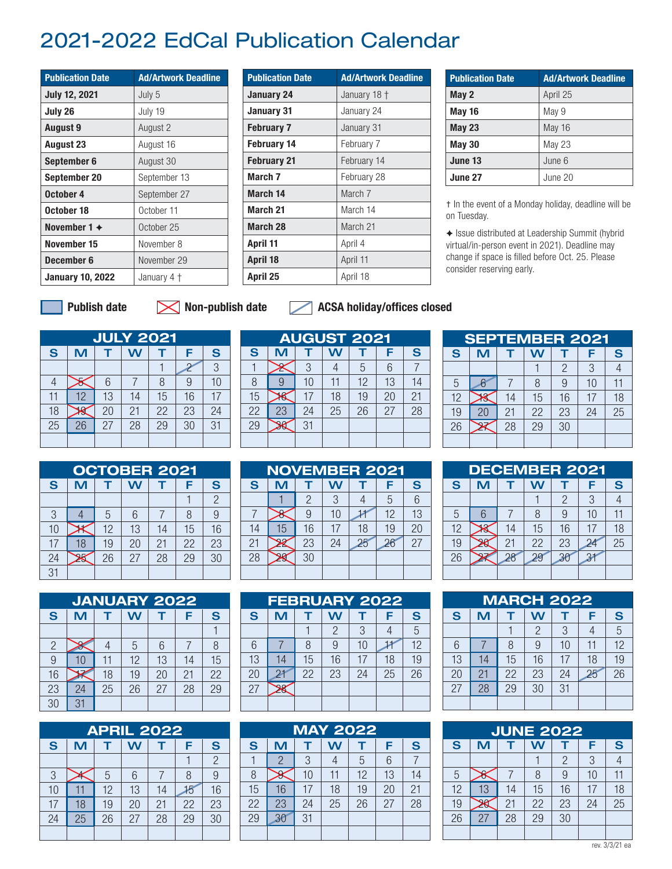## 2021-2022 EdCal Publication Calendar

| <b>Publication Date</b> | <b>Ad/Artwork Deadline</b> |
|-------------------------|----------------------------|
| <b>July 12, 2021</b>    | July 5                     |
| July 26                 | July 19                    |
| <b>August 9</b>         | August 2                   |
| <b>August 23</b>        | August 16                  |
| September 6             | August 30                  |
| September 20            | September 13               |
| October 4               | September 27               |
| October 18              | October 11                 |
| November $1 +$          | October 25                 |
| November 15             | November 8                 |
| December 6              | November 29                |
| <b>January 10, 2022</b> | January 4 †                |

| <b>Publication Date</b> | <b>Ad/Artwork Deadline</b> |
|-------------------------|----------------------------|
| January 24              | January 18 +               |
| January 31              | January 24                 |
| <b>February 7</b>       | January 31                 |
| <b>February 14</b>      | February 7                 |
| <b>February 21</b>      | February 14                |
| March <sub>7</sub>      | February 28                |
| March 14                | March <sub>7</sub>         |
| March <sub>21</sub>     | March 14                   |
| March 28                | March 21                   |
| April 11                | April 4                    |
| <b>April 18</b>         | April 11                   |
| April 25                | April 18                   |

| <b>Publication Date</b> | <b>Ad/Artwork Deadline</b> |
|-------------------------|----------------------------|
| May 2                   | April 25                   |
| <b>May 16</b>           | May 9                      |
| <b>May 23</b>           | <b>May 16</b>              |
| <b>May 30</b>           | <b>May 23</b>              |
| June 13                 | June 6                     |
| June 27                 | June 20                    |

† In the event of a Monday holiday, deadline will be on Tuesday.

✦ Issue distributed at Leadership Summit (hybrid virtual/in-person event in 2021). Deadline may change if space is filled before Oct. 25. Please consider reserving early.

Publish date

## $\blacksquare$  Non-publish date  $\blacksquare$  ACSA holiday/offices closed

|    | <b>JULY 2021</b> |             |    |    |    |    |  |  |  |  |  |  |  |
|----|------------------|-------------|----|----|----|----|--|--|--|--|--|--|--|
| S  | M                | S<br>W<br>F |    |    |    |    |  |  |  |  |  |  |  |
|    |                  |             |    |    | Ω  | 3  |  |  |  |  |  |  |  |
|    |                  | 6           |    | 8  | 9  | 10 |  |  |  |  |  |  |  |
| 11 | 12               | 13          | 14 | 15 | 16 | 17 |  |  |  |  |  |  |  |
| 18 |                  | 20          | 21 | 22 | 23 | 24 |  |  |  |  |  |  |  |
| 25 | 26               | 27          | 28 | 29 | 30 | 31 |  |  |  |  |  |  |  |
|    |                  |             |    |    |    |    |  |  |  |  |  |  |  |

|                 | <b>AUGUST 2021</b> |    |    |    |    |    |  |  |  |  |  |  |  |  |
|-----------------|--------------------|----|----|----|----|----|--|--|--|--|--|--|--|--|
| S               | M                  |    | W  |    | F  | S  |  |  |  |  |  |  |  |  |
|                 |                    | 3  |    | 5  | 6  |    |  |  |  |  |  |  |  |  |
| 8               |                    | 10 | 11 | 12 | 13 | 14 |  |  |  |  |  |  |  |  |
| 15              |                    | 17 | 18 | 19 | 20 | 21 |  |  |  |  |  |  |  |  |
| 22              | 23                 | 24 | 25 | 26 | 27 | 28 |  |  |  |  |  |  |  |  |
| $\overline{29}$ |                    | 31 |    |    |    |    |  |  |  |  |  |  |  |  |
|                 |                    |    |    |    |    |    |  |  |  |  |  |  |  |  |

|    |    |    | <b>AUGUST 2021</b> |    |             |    | <b>SEPTEMBER 2021</b> |    |    |    |    |    |
|----|----|----|--------------------|----|-------------|----|-----------------------|----|----|----|----|----|
| л  |    | W  |                    |    | S           | S  | M                     |    |    |    |    |    |
|    | Q  |    | 5                  |    |             |    |                       |    |    | 2  | 3  |    |
|    | 10 |    | 12                 | 13 | 14          |    |                       |    | 8  | 9  | 10 |    |
|    | 17 | 18 | 19                 | 20 | $2^{\circ}$ | 12 |                       | 14 | 15 | 16 | 17 | 18 |
| !3 | 24 | 25 | 26                 | 27 | 28          | 19 |                       | 21 | 22 | 23 | 24 | 25 |
|    | 31 |    |                    |    |             | 26 |                       | 28 | 29 | 30 |    |    |
|    |    |    |                    |    |             |    |                       |    |    |    |    |    |

|              | <b>OCTOBER 2021</b> |    |    |    |    |                |  |  |  |  |  |  |  |
|--------------|---------------------|----|----|----|----|----------------|--|--|--|--|--|--|--|
| $\mathbf{s}$ | S<br>M<br>W<br>F    |    |    |    |    |                |  |  |  |  |  |  |  |
|              |                     |    |    |    |    | $\overline{2}$ |  |  |  |  |  |  |  |
| 3            |                     | 5  | 6  |    | 8  | 9              |  |  |  |  |  |  |  |
| 10           |                     | 12 | 13 | 14 | 15 | 16             |  |  |  |  |  |  |  |
| 17           | 18                  | 19 | 20 | 21 | 22 | 23             |  |  |  |  |  |  |  |
| 24           |                     | 26 | 27 | 28 | 29 | 30             |  |  |  |  |  |  |  |
| 31           |                     |    |    |    |    |                |  |  |  |  |  |  |  |

| <b>OCTOBER 2021</b> |    |    |    |    |    |  | <b>NOVEMBER 2021</b> |          |          |    |          |          | <b>DECEMBER 2021</b> |    |  |    |    |               |  |
|---------------------|----|----|----|----|----|--|----------------------|----------|----------|----|----------|----------|----------------------|----|--|----|----|---------------|--|
| M                   |    |    |    |    | S  |  | S                    |          |          |    |          |          | S                    | S  |  |    |    |               |  |
|                     |    |    |    |    |    |  |                      |          |          |    |          |          | $\cap$<br>b          |    |  |    |    |               |  |
|                     | h  | b  |    |    |    |  |                      |          |          |    |          | 12       | 13                   |    |  |    |    |               |  |
|                     | 10 | 13 | 14 | 15 | 16 |  | 14                   | 一<br>ل ا | 16       |    | 18       | 19       | 20                   | 12 |  | 14 | 15 | $\mathfrak b$ |  |
| 18                  | 19 | 20 | 21 | 22 | 23 |  |                      |          | ∩∩<br>ΖJ | 24 | $\Omega$ | $\Omega$ | 27                   | 19 |  |    | nn | ZJ.           |  |
|                     | 26 | 27 | 28 | 29 | 30 |  | 28                   |          | 30       |    |          |          |                      | 26 |  | 28 |    |               |  |
|                     |    |    |    |    |    |  |                      |          |          |    |          |          |                      |    |  |    |    |               |  |

|                 | <b>DECEMBER 2021</b> |    |    |                |    |    |  |  |  |  |  |  |  |
|-----------------|----------------------|----|----|----------------|----|----|--|--|--|--|--|--|--|
| S               | S<br>M<br>W<br>F     |    |    |                |    |    |  |  |  |  |  |  |  |
|                 |                      |    |    | $\overline{2}$ | 3  |    |  |  |  |  |  |  |  |
| 5               | 6                    |    | 8  | 9              | 10 | 11 |  |  |  |  |  |  |  |
| 12              |                      | 14 | 15 | 16             | 17 | 18 |  |  |  |  |  |  |  |
| 19              |                      | 21 | 22 | 23             |    | 25 |  |  |  |  |  |  |  |
| $\overline{26}$ |                      | 28 | 29 | 30             |    |    |  |  |  |  |  |  |  |
|                 |                      |    |    |                |    |    |  |  |  |  |  |  |  |

|                | <b>JANUARY 2022</b> |    |    |    |    |    |  |  |  |  |  |  |  |
|----------------|---------------------|----|----|----|----|----|--|--|--|--|--|--|--|
| S              | M                   | S  |    |    |    |    |  |  |  |  |  |  |  |
|                |                     |    |    |    |    |    |  |  |  |  |  |  |  |
| $\overline{2}$ |                     |    | 5  | 6  |    | 8  |  |  |  |  |  |  |  |
| 9              | 10                  | 11 | 12 | 13 | 14 | 15 |  |  |  |  |  |  |  |
| 16             |                     | 18 | 19 | 20 | 21 | 22 |  |  |  |  |  |  |  |
| 23             | 24                  | 25 | 26 | 27 | 28 | 29 |  |  |  |  |  |  |  |
| 30             | 31                  |    |    |    |    |    |  |  |  |  |  |  |  |

|    |    |    | <b>APRIL 2022</b> |    |    |               |    |    |    | <b>MAY 2022</b> |    |
|----|----|----|-------------------|----|----|---------------|----|----|----|-----------------|----|
| S  | M  |    | W                 |    | F  | S             | S  | M  |    | W               |    |
|    |    |    |                   |    |    | $\mathcal{P}$ |    | 2  | 3  | 4               | 5  |
| 3  |    | 5  | 6                 |    | 8  |               | 8  |    | 10 |                 | 12 |
| 10 |    | 12 | 13                | 14 |    | 16            | 15 | 16 | 17 | 18              | 19 |
|    | 18 | 19 | 20                | 21 | 22 | 23            | 22 | 23 | 24 | 25              | 26 |
| 24 | 25 | 26 | 27                | 28 | 29 | 30            | 29 | 30 | 31 |                 |    |
|    |    |    |                   |    |    |               |    |    |    |                 |    |

|    | <b>FEBRUARY 2022</b> |    |    |    |    |    |    |    |    | <b>MARCH 2022</b> |    |   |
|----|----------------------|----|----|----|----|----|----|----|----|-------------------|----|---|
| S  | M                    |    | W  |    |    | S  | S  | M  |    | W                 |    |   |
|    |                      |    | 2  | 3  |    | 5  |    |    |    |                   |    |   |
| 6  |                      | 8  | 9  | 10 |    | 12 | 6  |    | 8  | 9                 | 10 |   |
| 13 | 14                   | 15 | 16 | 17 | 18 | 19 | 13 | 14 | 15 | 16                |    |   |
| 20 |                      | 22 | 23 | 24 | 25 | 26 | 20 | 21 | 22 | 23                | 24 | 2 |
| 27 |                      |    |    |    |    |    | 27 | 28 | 29 | 30                | 31 |   |
|    |                      |    |    |    |    |    |    |    |    |                   |    |   |

|                 | <b>MAY 2022</b> |    |    |    |    |    |  |  |  |  |  |  |
|-----------------|-----------------|----|----|----|----|----|--|--|--|--|--|--|
| S               | M               |    | Ŵ  |    | F  | S  |  |  |  |  |  |  |
|                 | 2               | 3  |    | 5  | 6  |    |  |  |  |  |  |  |
| 8               |                 | 10 | 11 | 12 | 13 | 14 |  |  |  |  |  |  |
| 15              | 16              | 17 | 18 | 19 | 20 | 21 |  |  |  |  |  |  |
| 22              | 23              | 24 | 25 | 26 | 27 | 28 |  |  |  |  |  |  |
| $\overline{29}$ | 30              | 31 |    |    |    |    |  |  |  |  |  |  |
|                 |                 |    |    |    |    |    |  |  |  |  |  |  |

| <b>MARCH 2022</b> |    |    |                |    |    |                |  |  |  |  |  |
|-------------------|----|----|----------------|----|----|----------------|--|--|--|--|--|
| S                 | M  | т  | W              |    | F  | S              |  |  |  |  |  |
|                   |    |    | $\overline{2}$ | 3  |    | $\overline{5}$ |  |  |  |  |  |
| 6                 |    | 8  | 9              | 10 | 11 | 12             |  |  |  |  |  |
| 13                | 14 | 15 | 16             | 17 | 18 | 19             |  |  |  |  |  |
| 20                | 21 | 22 | 23             | 24 | 25 | 26             |  |  |  |  |  |
| 27                | 28 | 29 | 30             | 31 |    |                |  |  |  |  |  |
|                   |    |    |                |    |    |                |  |  |  |  |  |

|    | <b>JUNE 2022</b> |    |    |    |    |    |  |  |  |  |  |
|----|------------------|----|----|----|----|----|--|--|--|--|--|
| S  | M                | т  | W  | т  | F  | S  |  |  |  |  |  |
|    |                  |    |    | 2  | 3  |    |  |  |  |  |  |
| 5  |                  |    | 8  | 9  | 10 |    |  |  |  |  |  |
| 12 | 13               | 14 | 15 | 16 | 17 | 18 |  |  |  |  |  |
| 19 |                  | 21 | 22 | 23 | 24 | 25 |  |  |  |  |  |
| 26 | 27               | 28 | 29 | 30 |    |    |  |  |  |  |  |
|    |                  |    |    |    |    |    |  |  |  |  |  |